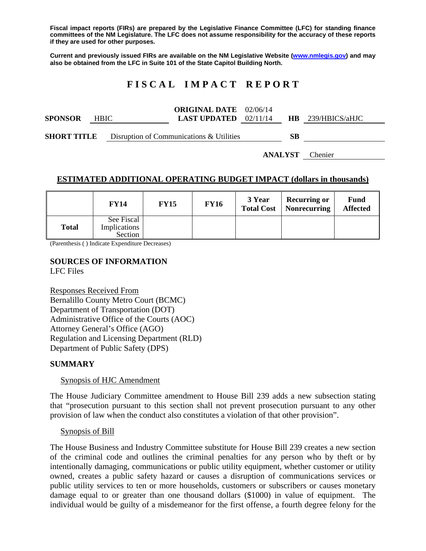**Fiscal impact reports (FIRs) are prepared by the Legislative Finance Committee (LFC) for standing finance committees of the NM Legislature. The LFC does not assume responsibility for the accuracy of these reports if they are used for other purposes.** 

**Current and previously issued FIRs are available on the NM Legislative Website (www.nmlegis.gov) and may also be obtained from the LFC in Suite 101 of the State Capitol Building North.** 

# **F I S C A L I M P A C T R E P O R T**

**SPONSOR** HBIC **ORIGINAL DATE**  02/06/14 **LAST UPDATED**  02/11/14 **HB** 239/HBICS/aHJC

**SHORT TITLE** Disruption of Communications & Utilities **SB** 

**ANALYST** Chenier

## **ESTIMATED ADDITIONAL OPERATING BUDGET IMPACT (dollars in thousands)**

|       | <b>FY14</b>                           | <b>FY15</b> | <b>FY16</b> | 3 Year<br><b>Total Cost</b> | <b>Recurring or</b><br>  Nonrecurring | Fund<br><b>Affected</b> |
|-------|---------------------------------------|-------------|-------------|-----------------------------|---------------------------------------|-------------------------|
| Total | See Fiscal<br>Implications<br>Section |             |             |                             |                                       |                         |

(Parenthesis ( ) Indicate Expenditure Decreases)

# **SOURCES OF INFORMATION**

LFC Files

Responses Received From Bernalillo County Metro Court (BCMC) Department of Transportation (DOT) Administrative Office of the Courts (AOC) Attorney General's Office (AGO) Regulation and Licensing Department (RLD) Department of Public Safety (DPS)

## **SUMMARY**

Synopsis of HJC Amendment

The House Judiciary Committee amendment to House Bill 239 adds a new subsection stating that "prosecution pursuant to this section shall not prevent prosecution pursuant to any other provision of law when the conduct also constitutes a violation of that other provision".

#### Synopsis of Bill

The House Business and Industry Committee substitute for House Bill 239 creates a new section of the criminal code and outlines the criminal penalties for any person who by theft or by intentionally damaging, communications or public utility equipment, whether customer or utility owned, creates a public safety hazard or causes a disruption of communications services or public utility services to ten or more households, customers or subscribers or causes monetary damage equal to or greater than one thousand dollars (\$1000) in value of equipment. The individual would be guilty of a misdemeanor for the first offense, a fourth degree felony for the